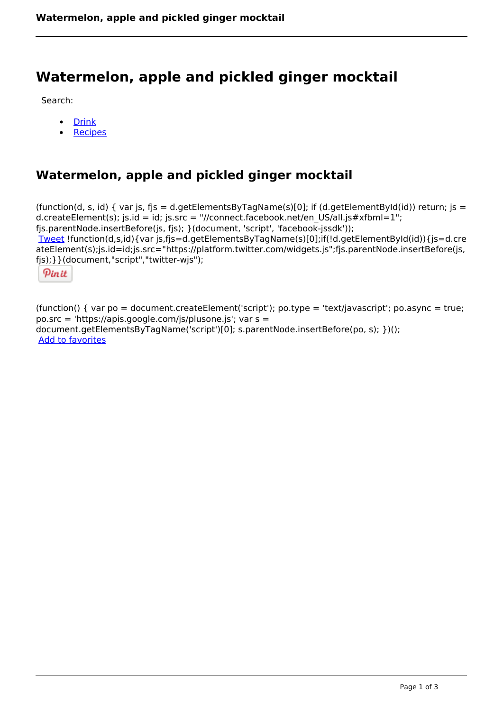# **Watermelon, apple and pickled ginger mocktail**

Search:

- [Drink](https://www.naturalhealthmag.com.au/nourish/drinks)  $\bullet$
- **[Recipes](https://www.naturalhealthmag.com.au/nourish/recipes)**

# **Watermelon, apple and pickled ginger mocktail**

(function(d, s, id) { var js, fjs = d.getElementsByTagName(s)[0]; if (d.getElementById(id)) return; js = d.createElement(s); js.id = id; js.src = "//connect.facebook.net/en\_US/all.js#xfbml=1"; fjs.parentNode.insertBefore(js, fjs); }(document, 'script', 'facebook-jssdk')); [Tweet](https://twitter.com/share) !function(d,s,id){var js,fjs=d.getElementsByTagName(s)[0];if(!d.getElementById(id)){js=d.cre ateElement(s);js.id=id;js.src="https://platform.twitter.com/widgets.js";fjs.parentNode.insertBefore(js, fjs);}}(document,"script","twitter-wjs");

Pinit

(function() { var po = document.createElement('script'); po.type = 'text/javascript'; po.async = true; po.src = 'https://apis.google.com/js/plusone.js'; var s = document.getElementsByTagName('script')[0]; s.parentNode.insertBefore(po, s); })(); Add to favorites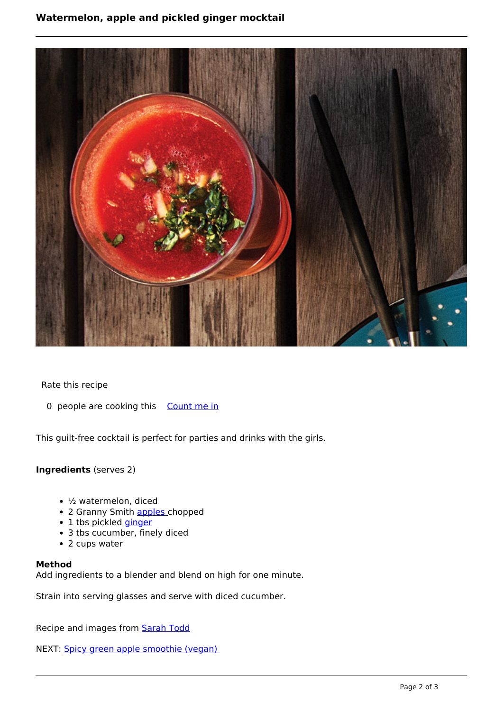## **Watermelon, apple and pickled ginger mocktail**



Rate this recipe

0 people are cooking this [Count me in](https://www.naturalhealthmag.com.au/flag/flag/favorites/1576?destination=printpdf%2F1576&token=990826ed801f65cab9efc38f994671d1)

This guilt-free cocktail is perfect for parties and drinks with the girls.

### **Ingredients** (serves 2)

- ½ watermelon, diced
- 2 Granny Smith [apples](http://www.naturalhealthmag.com.au/nourish/red-cabbage-risotto-apple-walnuts-and-goats-cheese) chopped
- 1 tbs pickled *[ginger](http://www.naturalhealthmag.com.au/nourish/apple-rhubarb-ginger-filo-scrunch)*
- 3 tbs cucumber, finely diced
- 2 cups water

#### **Method**

Add ingredients to a blender and blend on high for one minute.

Strain into serving glasses and serve with diced cucumber.

Recipe and images from [Sarah Todd](http://sarahtodd.com.au/)

NEXT: [Spicy green apple smoothie \(vegan\)](http://www.naturalhealthmag.com.au/nourish/spicy-green-apple-smoothie-vegan)